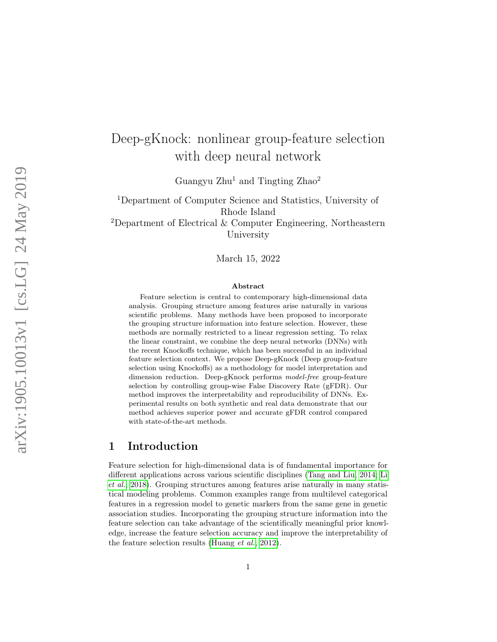# Deep-gKnock: nonlinear group-feature selection with deep neural network

Guangyu Zhu<sup>1</sup> and Tingting Zhao<sup>2</sup>

<sup>1</sup>Department of Computer Science and Statistics, University of Rhode Island <sup>2</sup>Department of Electrical  $&$  Computer Engineering, Northeastern University

March 15, 2022

#### Abstract

Feature selection is central to contemporary high-dimensional data analysis. Grouping structure among features arise naturally in various scientific problems. Many methods have been proposed to incorporate the grouping structure information into feature selection. However, these methods are normally restricted to a linear regression setting. To relax the linear constraint, we combine the deep neural networks (DNNs) with the recent Knockoffs technique, which has been successful in an individual feature selection context. We propose Deep-gKnock (Deep group-feature selection using Knockoffs) as a methodology for model interpretation and dimension reduction. Deep-gKnock performs model-free group-feature selection by controlling group-wise False Discovery Rate (gFDR). Our method improves the interpretability and reproducibility of DNNs. Experimental results on both synthetic and real data demonstrate that our method achieves superior power and accurate gFDR control compared with state-of-the-art methods.

### 1 Introduction

Feature selection for high-dimensional data is of fundamental importance for different applications across various scientific disciplines [\(Tang and Liu, 2014;](#page-12-0) [Li](#page-12-1) [et al.](#page-12-1), [2018\)](#page-12-1). Grouping structures among features arise naturally in many statistical modeling problems. Common examples range from multilevel categorical features in a regression model to genetic markers from the same gene in genetic association studies. Incorporating the grouping structure information into the feature selection can take advantage of the scientifically meaningful prior knowledge, increase the feature selection accuracy and improve the interpretability of the feature selection results [\(Huang](#page-11-0) et al., [2012\)](#page-11-0).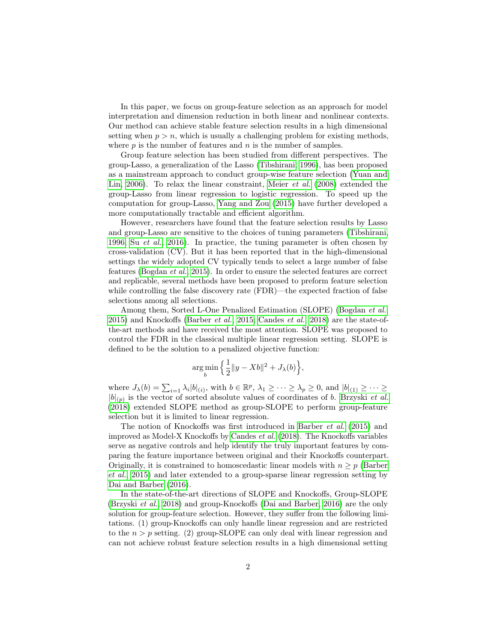In this paper, we focus on group-feature selection as an approach for model interpretation and dimension reduction in both linear and nonlinear contexts. Our method can achieve stable feature selection results in a high dimensional setting when  $p > n$ , which is usually a challenging problem for existing methods, where  $p$  is the number of features and  $n$  is the number of samples.

Group feature selection has been studied from different perspectives. The group-Lasso, a generalization of the Lasso [\(Tibshirani, 1996\)](#page-12-2), has been proposed as a mainstream approach to conduct group-wise feature selection [\(Yuan and](#page-12-3) [Lin, 2006\)](#page-12-3). To relax the linear constraint, [Meier](#page-12-4) et al. [\(2008\)](#page-12-4) extended the group-Lasso from linear regression to logistic regression. To speed up the computation for group-Lasso, [Yang and Zou](#page-12-5) [\(2015\)](#page-12-5) have further developed a more computationally tractable and efficient algorithm.

However, researchers have found that the feature selection results by Lasso and group-Lasso are sensitive to the choices of tuning parameters [\(Tibshirani,](#page-12-2) [1996;](#page-12-2) Su [et al.](#page-12-6), [2016\)](#page-12-6). In practice, the tuning parameter is often chosen by cross-validation (CV). But it has been reported that in the high-dimensional settings the widely adopted CV typically tends to select a large number of false features [\(Bogdan](#page-11-1) et al., [2015\)](#page-11-1). In order to ensure the selected features are correct and replicable, several methods have been proposed to preform feature selection while controlling the false discovery rate (FDR)—the expected fraction of false selections among all selections.

Among them, Sorted L-One Penalized Estimation (SLOPE) [\(Bogdan](#page-11-1) *et al.*, [2015\)](#page-11-1) and Knockoffs [\(Barber](#page-11-2) et al., [2015;](#page-11-2) [Candes](#page-11-3) et al., [2018\)](#page-11-3) are the state-ofthe-art methods and have received the most attention. SLOPE was proposed to control the FDR in the classical multiple linear regression setting. SLOPE is defined to be the solution to a penalized objective function:

$$
\argmin_b \left\{ \frac{1}{2} ||y - Xb||^2 + J_{\lambda}(b) \right\},\
$$

where  $J_{\lambda}(b) = \sum_{i=1} \lambda_i |b|_{(i)}$ , with  $b \in \mathbb{R}^p$ ,  $\lambda_1 \geq \cdots \geq \lambda_p \geq 0$ , and  $|b|_{(1)} \geq \cdots \geq$  $|b|_{(p)}$  is the vector of sorted absolute values of coordinates of b. [Brzyski](#page-11-4) *et al.* [\(2018\)](#page-11-4) extended SLOPE method as group-SLOPE to perform group-feature selection but it is limited to linear regression.

The notion of Knockoffs was first introduced in [Barber](#page-11-2) et al. [\(2015\)](#page-11-2) and improved as Model-X Knockoffs by [Candes](#page-11-3) et al. [\(2018\)](#page-11-3). The Knockoffs variables serve as negative controls and help identify the truly important features by comparing the feature importance between original and their Knockoffs counterpart. Originally, it is constrained to homoscedastic linear models with  $n \geq p$  [\(Barber](#page-11-2) [et al.](#page-11-2), [2015\)](#page-11-2) and later extended to a group-sparse linear regression setting by [Dai and Barber](#page-11-5) [\(2016\)](#page-11-5).

In the state-of-the-art directions of SLOPE and Knockoffs, Group-SLOPE [\(Brzyski](#page-11-4) et al., [2018\)](#page-11-4) and group-Knockoffs [\(Dai and Barber, 2016\)](#page-11-5) are the only solution for group-feature selection. However, they suffer from the following limitations. (1) group-Knockoffs can only handle linear regression and are restricted to the  $n > p$  setting. (2) group-SLOPE can only deal with linear regression and can not achieve robust feature selection results in a high dimensional setting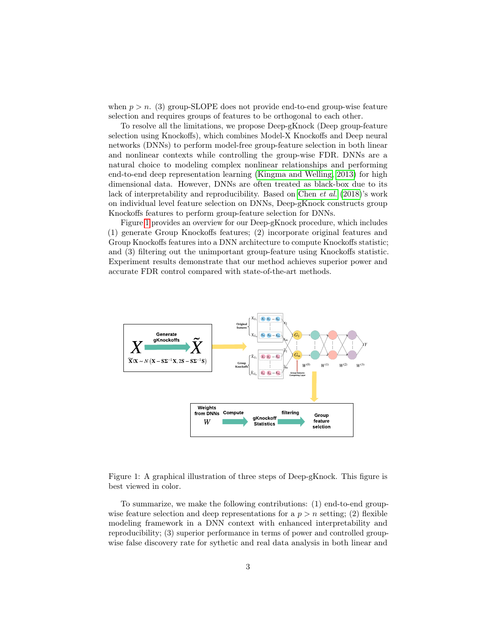when  $p > n$ . (3) group-SLOPE does not provide end-to-end group-wise feature selection and requires groups of features to be orthogonal to each other.

To resolve all the limitations, we propose Deep-gKnock (Deep group-feature selection using Knockoffs), which combines Model-X Knockoffs and Deep neural networks (DNNs) to perform model-free group-feature selection in both linear and nonlinear contexts while controlling the group-wise FDR. DNNs are a natural choice to modeling complex nonlinear relationships and performing end-to-end deep representation learning [\(Kingma and Welling, 2013\)](#page-11-6) for high dimensional data. However, DNNs are often treated as black-box due to its lack of interpretability and reproducibility. Based on [Chen](#page-11-7) et al. [\(2018\)](#page-11-7)'s work on individual level feature selection on DNNs, Deep-gKnock constructs group Knockoffs features to perform group-feature selection for DNNs.

Figure [1](#page-2-0) provides an overview for our Deep-gKnock procedure, which includes (1) generate Group Knockoffs features; (2) incorporate original features and Group Knockoffs features into a DNN architecture to compute Knockoffs statistic; and (3) filtering out the unimportant group-feature using Knockoffs statistic. Experiment results demonstrate that our method achieves superior power and accurate FDR control compared with state-of-the-art methods.



<span id="page-2-0"></span>Figure 1: A graphical illustration of three steps of Deep-gKnock. This figure is best viewed in color.

To summarize, we make the following contributions: (1) end-to-end groupwise feature selection and deep representations for a  $p > n$  setting; (2) flexible modeling framework in a DNN context with enhanced interpretability and reproducibility; (3) superior performance in terms of power and controlled groupwise false discovery rate for sythetic and real data analysis in both linear and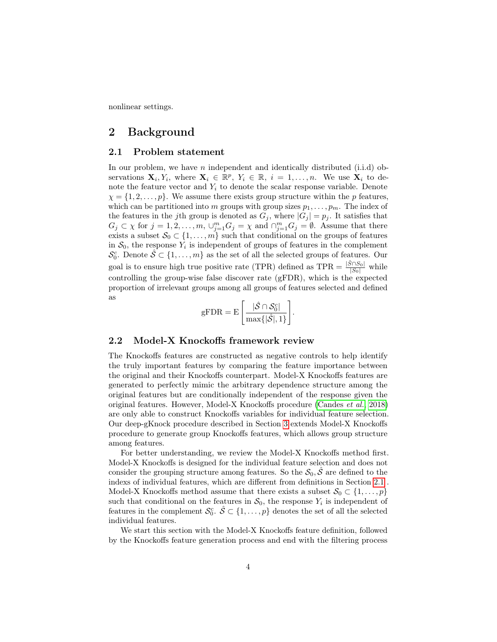nonlinear settings.

### 2 Background

### <span id="page-3-0"></span>2.1 Problem statement

In our problem, we have  $n$  independent and identically distributed (i.i.d) observations  $\mathbf{X}_i, Y_i$ , where  $\mathbf{X}_i \in \mathbb{R}^p$ ,  $Y_i \in \mathbb{R}$ ,  $i = 1, ..., n$ . We use  $\mathbf{X}_i$  to denote the feature vector and  $Y_i$  to denote the scalar response variable. Denote  $\chi = \{1, 2, \ldots, p\}$ . We assume there exists group structure within the p features, which can be partitioned into m groups with group sizes  $p_1, \ldots, p_m$ . The index of the features in the jth group is denoted as  $G_j$ , where  $|G_j| = p_j$ . It satisfies that  $G_j \subset \chi$  for  $j = 1, 2, \ldots, m$ ,  $\cup_{j=1}^m G_j = \chi$  and  $\cap_{j=1}^m G_j = \emptyset$ . Assume that there exists a subset  $S_0 \subset \{1, \ldots, m\}$  such that conditional on the groups of features in  $S_0$ , the response  $Y_i$  is independent of groups of features in the complement  $\mathcal{S}_0^c$ . Denote  $\hat{\mathcal{S}} \subset \{1, \ldots, m\}$  as the set of all the selected groups of features. Our goal is to ensure high true positive rate (TPR) defined as  $TPR = \frac{|\hat{S} \cap S_0|}{|S_0|}$  while controlling the group-wise false discover rate (gFDR), which is the expected proportion of irrelevant groups among all groups of features selected and defined as

$$
\mathrm{gFDR}=\mathrm{E}\left[\frac{|\hat{\mathcal{S}}\cap\mathcal{S}_0^c|}{\mathrm{max}\{|\hat{\mathcal{S}}|,1\}}\right].
$$

#### 2.2 Model-X Knockoffs framework review

The Knockoffs features are constructed as negative controls to help identify the truly important features by comparing the feature importance between the original and their Knockoffs counterpart. Model-X Knockoffs features are generated to perfectly mimic the arbitrary dependence structure among the original features but are conditionally independent of the response given the original features. However, Model-X Knockoffs procedure [\(Candes](#page-11-3) et al., [2018\)](#page-11-3) are only able to construct Knockoffs variables for individual feature selection. Our deep-gKnock procedure described in Section [3](#page-5-0) extends Model-X Knockoffs procedure to generate group Knockoffs features, which allows group structure among features.

For better understanding, we review the Model-X Knockoffs method first. Model-X Knockoffs is designed for the individual feature selection and does not consider the grouping structure among features. So the  $S_0$ ,  $\hat{S}$  are defined to the indexs of individual features, which are different from definitions in Section [2.1](#page-3-0) . Model-X Knockoffs method assume that there exists a subset  $\mathcal{S}_0 \subset \{1, \ldots, p\}$ such that conditional on the features in  $S_0$ , the response  $Y_i$  is independent of features in the complement  $\mathcal{S}_0^c$ .  $\hat{\mathcal{S}} \subset \{1, \ldots, p\}$  denotes the set of all the selected individual features.

We start this section with the Model-X Knockoffs feature definition, followed by the Knockoffs feature generation process and end with the filtering process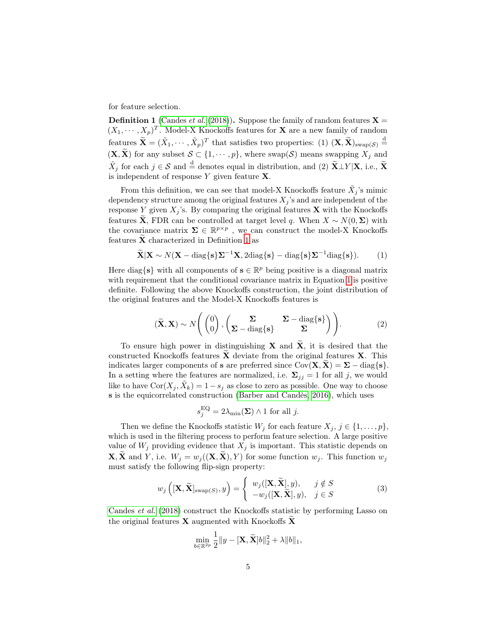for feature selection.

<span id="page-4-0"></span>**Definition 1** [\(Candes](#page-11-3) *et al.* [\(2018\)](#page-11-3)). Suppose the family of random features  $X =$  $(X_1, \dots, X_p)^T$ . Model-X Knockoffs features for **X** are a new family of random features  $\widetilde{\mathbf{X}} = (\widetilde{X}_1, \cdots, \widetilde{X}_p)^T$  that satisfies two properties: (1)  $(\mathbf{X}, \widetilde{\mathbf{X}})_{\text{swap}(\mathcal{S})} \stackrel{\text{d}}{=}$  $(\mathbf{X}, \widetilde{\mathbf{X}})$  for any subset  $\mathcal{S} \subset \{1, \cdots, p\}$ , where swap $(\mathcal{S})$  means swapping  $\widetilde{X}_j$  and  $\tilde{X}_j$  for each  $j \in \mathcal{S}$  and  $\stackrel{d}{=}$  denotes equal in distribution, and (2)  $\tilde{\mathbf{X}} \perp Y | \mathbf{X}$ , i.e.,  $\tilde{\mathbf{X}}$ is independent of response  $Y$  given feature  $X$ .

From this definition, we can see that model-X Knockoffs feature  $\tilde{X}_j$ 's mimic dependency structure among the original features  $X_j$ 's and are independent of the response Y given  $X_i$ 's. By comparing the original features **X** with the Knockoffs features **X**, FDR can be controlled at target level q. When  $X \sim N(0, \Sigma)$  with the covariance matrix  $\Sigma \in \mathbb{R}^{p \times p}$ , we can construct the model-X Knockoffs features  $\tilde{\mathbf{X}}$  characterized in Definition [1](#page-4-0) as

<span id="page-4-1"></span>
$$
\widetilde{\mathbf{X}}|\mathbf{X} \sim N(\mathbf{X} - \text{diag}\{\mathbf{s}\}\mathbf{\Sigma}^{-1}\mathbf{X}, 2\text{diag}\{\mathbf{s}\} - \text{diag}\{\mathbf{s}\}\mathbf{\Sigma}^{-1}\text{diag}\{\mathbf{s}\}).
$$
 (1)

Here diag $\{s\}$  with all components of  $s \in \mathbb{R}^p$  being positive is a diagonal matrix with requirement that the conditional covariance matrix in Equation [1](#page-4-1) is positive definite. Following the above Knockoffs construction, the joint distribution of the original features and the Model-X Knockoffs features is

$$
(\widetilde{\mathbf{X}}, \mathbf{X}) \sim N\left(\begin{pmatrix}0\\0\end{pmatrix}, \begin{pmatrix}\Sigma & \Sigma - \text{diag}\{\mathbf{s}\}\\ \Sigma - \text{diag}\{\mathbf{s}\}\end{pmatrix}\right). \tag{2}
$$

<span id="page-4-3"></span>To ensure high power in distinguishing **X** and  $\tilde{\mathbf{X}}$ , it is desired that the constructed Knockoffs features  $X$  deviate from the original features  $X$ . This indicates larger components of s are preferred since  $Cov(\mathbf{X}, \mathbf{X}) = \Sigma - \text{diag}\{\mathbf{s}\}.$ In a setting where the features are normalized, i.e.  $\Sigma_{ij} = 1$  for all j, we would like to have  $Cor(X_j, \tilde{X}_k) = 1 - s_j$  as close to zero as possible. One way to choose s is the equicorrelated construction [\(Barber and Candès, 2016\)](#page-11-8), which uses

<span id="page-4-2"></span>
$$
s_j^{\text{EQ}} = 2\lambda_{\min}(\mathbf{\Sigma}) \wedge 1 \text{ for all } j.
$$

Then we define the Knockoffs statistic  $W_j$  for each feature  $X_j, j \in \{1, \ldots, p\}$ , which is used in the filtering process to perform feature selection. A large positive value of  $W_j$  providing evidence that  $X_j$  is important. This statistic depends on  $\mathbf{X}, \widetilde{\mathbf{X}}$  and Y, i.e.  $W_j = w_j((\mathbf{X}, \widetilde{\mathbf{X}}), Y)$  for some function  $w_j$ . This function  $w_j$ must satisfy the following flip-sign property:

$$
w_j\left( [\mathbf{X}, \widetilde{\mathbf{X}}]_{\text{swap}(S)}, y \right) = \begin{cases} w_j([\mathbf{X}, \widetilde{\mathbf{X}}], y), & j \notin S \\ -w_j([\mathbf{X}, \widetilde{\mathbf{X}}], y), & j \in S \end{cases}
$$
(3)

[Candes](#page-11-3) et al. [\(2018\)](#page-11-3) construct the Knockoffs statistic by performing Lasso on the original features  $\bf{X}$  augmented with Knockoffs  $\bf{X}$ 

$$
\min_{b\in\mathbb{R}^{2p}}\frac{1}{2}\|y-[\mathbf{X},\widetilde{\mathbf{X}}]b\|_2^2+\lambda\|b\|_1,
$$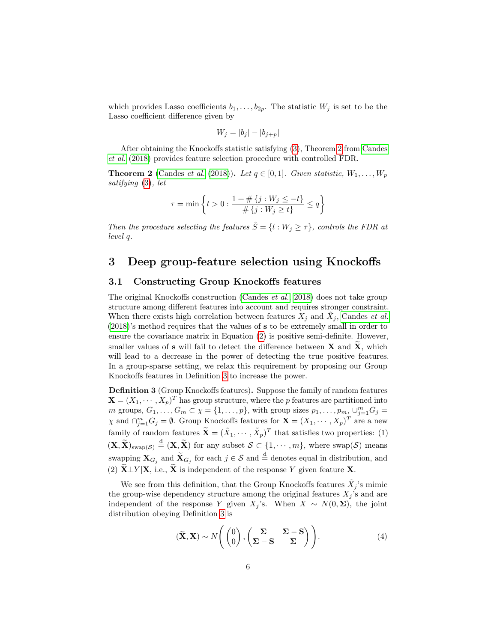which provides Lasso coefficients  $b_1, \ldots, b_{2p}$ . The statistic  $W_j$  is set to be the Lasso coefficient difference given by

$$
W_j = |b_j| - |b_{j+p}|
$$

After obtaining the Knockoffs statistic satisfying [\(3\)](#page-4-2), Theorem [2](#page-5-1) from [Candes](#page-11-3) [et al.](#page-11-3) [\(2018\)](#page-11-3) provides feature selection procedure with controlled FDR.

<span id="page-5-1"></span>**Theorem 2** [\(Candes](#page-11-3) *et al.* [\(2018\)](#page-11-3)). Let  $q \in [0,1]$ . Given statistic,  $W_1, \ldots, W_p$ satifying [\(3\)](#page-4-2), let

$$
\tau = \min \left\{ t > 0 : \frac{1 + \# \{ j : W_j \le -t \}}{\# \{ j : W_j \ge t \}} \le q \right\}
$$

Then the procedure selecting the features  $\hat{S} = \{l : W_j \geq \tau\}$ , controls the FDR at level q.

### <span id="page-5-0"></span>3 Deep group-feature selection using Knockoffs

#### 3.1 Constructing Group Knockoffs features

The original Knockoffs construction [\(Candes](#page-11-3) et al., [2018\)](#page-11-3) does not take group structure among different features into account and requires stronger constraint. When there exists high correlation between features  $X_j$  and  $\tilde{X}_j$ , [Candes](#page-11-3) *et al.* [\(2018\)](#page-11-3)'s method requires that the values of s to be extremely small in order to ensure the covariance matrix in Equation [\(2\)](#page-4-3) is positive semi-definite. However, smaller values of  $s$  will fail to detect the difference between  $X$  and  $X$ , which will lead to a decrease in the power of detecting the true positive features. In a group-sparse setting, we relax this requirement by proposing our Group Knockoffs features in Definition [3](#page-5-2) to increase the power.

<span id="page-5-2"></span>Definition 3 (Group Knockoffs features). Suppose the family of random features  $\mathbf{X} = (X_1, \dots, X_p)^T$  has group structure, where the p features are partitioned into m groups,  $G_1, \ldots, G_m \subset \chi = \{1, \ldots, p\}$ , with group sizes  $p_1, \ldots, p_m, \cup_{j=1}^m G_j =$  $\chi$  and  $\bigcap_{j=1}^{m} G_j = \emptyset$ . Group Knockoffs features for  $\mathbf{X} = (X_1, \dots, X_p)^T$  are a new family of random features  $\widetilde{\mathbf{X}} = (\widetilde{X}_1, \cdots, \widetilde{X}_p)^T$  that satisfies two properties: (1)  $(\mathbf{X}, \widetilde{\mathbf{X}})_{\text{swap}(\mathcal{S})} \stackrel{\text{d}}{=} (\mathbf{X}, \widetilde{\mathbf{X}})$  for any subset  $\mathcal{S} \subset \{1, \cdots, m\}$ , where swap( $\mathcal{S}$ ) means swapping  $\mathbf{X}_{G_j}$  and  $\widetilde{\mathbf{X}}_{G_j}$  for each  $j \in \mathcal{S}$  and  $\overset{\text{d}}{=}$  denotes equal in distribution, and (2)  $\mathbf{X} \perp Y | \mathbf{X}$ , i.e.,  $\mathbf{X}$  is independent of the response Y given feature X.

We see from this definition, that the Group Knockoffs features  $\tilde{X}_j$ 's mimic the group-wise dependency structure among the original features  $X_j$ 's and are independent of the response Y given  $X_j$ 's. When  $X \sim N(0, \Sigma)$ , the joint distribution obeying Definition [3](#page-5-2) is

$$
(\widetilde{\mathbf{X}}, \mathbf{X}) \sim N\left(\begin{pmatrix}0\\0\end{pmatrix}, \begin{pmatrix}\Sigma & \Sigma - \mathbf{S} \\ \Sigma - \mathbf{S} & \Sigma\end{pmatrix}\right).
$$
 (4)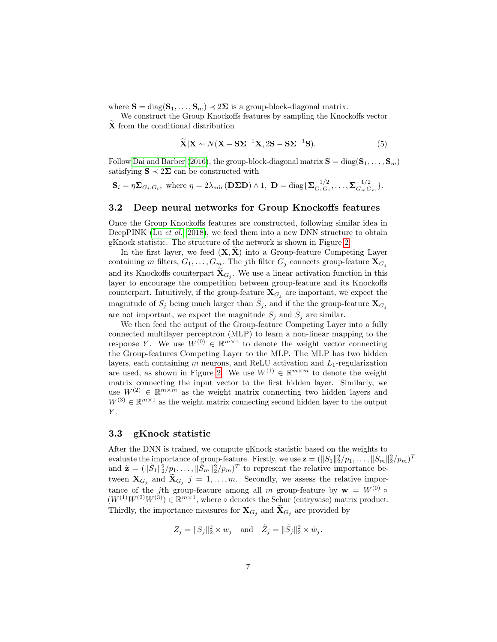where  $\mathbf{S} = \text{diag}(\mathbf{S}_1, \dots, \mathbf{S}_m) \prec 2\Sigma$  is a group-block-diagonal matrix.

We construct the Group Knockoffs features by sampling the Knockoffs vector X from the conditional distribution

$$
\widetilde{\mathbf{X}}|\mathbf{X} \sim N(\mathbf{X} - \mathbf{S}\Sigma^{-1}\mathbf{X}, 2\mathbf{S} - \mathbf{S}\Sigma^{-1}\mathbf{S}).
$$
\n(5)

Follow [Dai and Barber](#page-11-5) [\(2016\)](#page-11-5), the group-block-diagonal matrix  $S = diag(S_1, \ldots, S_m)$ satisfying  $\mathbf{S} \prec 2\mathbf{\Sigma}$  can be constructed with

$$
\mathbf{S}_i = \eta \mathbf{\Sigma}_{G_i, G_i}, \text{ where } \eta = 2\lambda_{\min}(\mathbf{D\Sigma}\mathbf{D}) \wedge 1, \ \mathbf{D} = \text{diag}\{\mathbf{\Sigma}_{G_1G_1}^{-1/2}, \dots, \mathbf{\Sigma}_{G_mG_m}^{-1/2}\}.
$$

#### 3.2 Deep neural networks for Group Knockoffs features

Once the Group Knockoffs features are constructed, following similar idea in DeepPINK (Lu  $et$  al., [2018\)](#page-12-7), we feed them into a new DNN structure to obtain gKnock statistic. The structure of the network is shown in Figure [2.](#page-7-0)

In the first layer, we feed  $(X, X)$  into a Group-feature Competing Layer containing m filters,  $G_1, \ldots, G_m$ . The jth filter  $G_j$  connects group-feature  $\mathbf{X}_{G_j}$ and its Knockoffs counterpart  $X_{G_j}$ . We use a linear activation function in this layer to encourage the competition between group-feature and its Knockoffs counterpart. Intuitively, if the group-feature  $\mathbf{X}_{G_j}$  are important, we expect the magnitude of  $S_j$  being much larger than  $\tilde{S}_j$ , and if the the group-feature  $\mathbf{X}_{G_j}$ are not important, we expect the magnitude  $S_j$  and  $\tilde{S}_j$  are similar.

We then feed the output of the Group-feature Competing Layer into a fully connected multilayer perceptron (MLP) to learn a non-linear mapping to the response Y. We use  $W^{(0)} \in \mathbb{R}^{m \times 1}$  to denote the weight vector connecting the Group-features Competing Layer to the MLP. The MLP has two hidden layers, each containing  $m$  neurons, and ReLU activation and  $L_1$ -regularization are used, as shown in Figure [2.](#page-7-0) We use  $W^{(1)} \in \mathbb{R}^{m \times m}$  to denote the weight matrix connecting the input vector to the first hidden layer. Similarly, we use  $W^{(2)} \in \mathbb{R}^{m \times m}$  as the weight matrix connecting two hidden layers and  $W^{(3)} \in \mathbb{R}^{m \times 1}$  as the weight matrix connecting second hidden layer to the output  $Y$ .

#### 3.3 gKnock statistic

After the DNN is trained, we compute gKnock statistic based on the weights to evaluate the importance of group-feature. Firstly, we use  $\mathbf{z} = (\|S_1\|_2^2/p_1, \ldots, \|S_m\|_2^2/p_m)^T$ and  $\tilde{\mathbf{z}} = (\|\tilde{S}_1\|_2^2/p_1, \ldots, \|\tilde{S}_m\|_2^2/p_m)^T$  to represent the relative importance between  $\mathbf{X}_{G_j}$  and  $\mathbf{X}_{G_j}$  j = 1, ..., m. Secondly, we assess the relative importance of the jth group-feature among all m group-feature by  $\mathbf{w} = W^{(0)} \circ$  $(W^{(1)}W^{(2)}W^{(3)}) \in \mathbb{R}^{m \times 1}$ , where  $\circ$  denotes the Schur (entrywise) matrix product. Thirdly, the importance measures for  $\mathbf{X}_{G_j}$  and  $\mathbf{X}_{G_j}$  are provided by

$$
Z_j = ||S_j||_2^2 \times w_j \quad \text{and} \quad \tilde{Z}_j = ||\tilde{S}_j||_2^2 \times \tilde{w}_j.
$$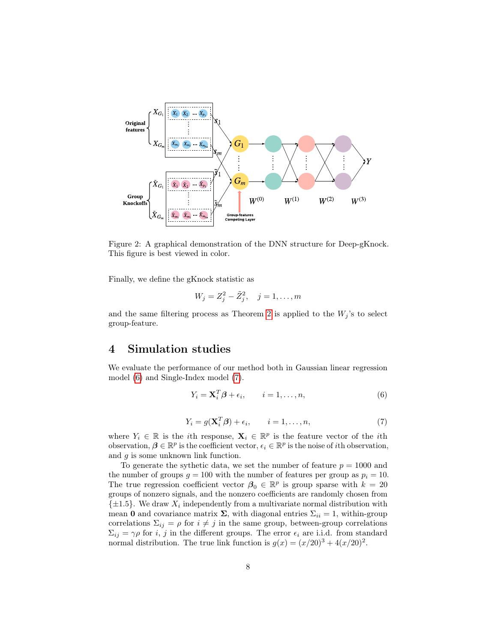

Figure 2: A graphical demonstration of the DNN structure for Deep-gKnock. This figure is best viewed in color.

Finally, we define the gKnock statistic as

<span id="page-7-0"></span>
$$
W_j = Z_j^2 - \tilde{Z}_j^2, \quad j = 1, \dots, m
$$

and the same filtering process as Theorem [2](#page-5-1) is applied to the  $W_i$ 's to select group-feature.

## <span id="page-7-3"></span>4 Simulation studies

We evaluate the performance of our method both in Gaussian linear regression model [\(6\)](#page-7-1) and Single-Index model [\(7\)](#page-7-2).

<span id="page-7-1"></span>
$$
Y_i = \mathbf{X}_i^T \boldsymbol{\beta} + \epsilon_i, \qquad i = 1, \dots, n,
$$
\n<sup>(6)</sup>

$$
Y_i = g(\mathbf{X}_i^T \boldsymbol{\beta}) + \epsilon_i, \qquad i = 1, \dots, n,
$$
\n(7)

<span id="page-7-2"></span>where  $Y_i \in \mathbb{R}$  is the *i*th response,  $\mathbf{X}_i \in \mathbb{R}^p$  is the feature vector of the *i*th observation,  $\beta \in \mathbb{R}^p$  is the coefficient vector,  $\epsilon_i \in \mathbb{R}^p$  is the noise of *i*th observation, and g is some unknown link function.

To generate the sythetic data, we set the number of feature  $p = 1000$  and the number of groups  $g = 100$  with the number of features per group as  $p_i = 10$ . The true regression coefficient vector  $\beta_0 \in \mathbb{R}^p$  is group sparse with  $k = 20$ groups of nonzero signals, and the nonzero coefficients are randomly chosen from  $\{\pm 1.5\}$ . We draw  $X_i$  independently from a multivariate normal distribution with mean 0 and covariance matrix  $\Sigma$ , with diagonal entries  $\Sigma_{ii} = 1$ , within-group correlations  $\Sigma_{ij} = \rho$  for  $i \neq j$  in the same group, between-group correlations  $\Sigma_{ij} = \gamma \rho$  for *i*, *j* in the different groups. The error  $\epsilon_i$  are i.i.d. from standard normal distribution. The true link function is  $g(x) = (x/20)^3 + 4(x/20)^2$ .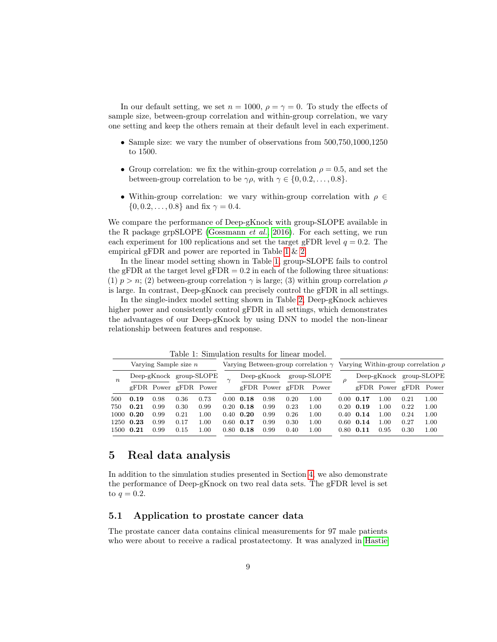In our default setting, we set  $n = 1000$ ,  $\rho = \gamma = 0$ . To study the effects of sample size, between-group correlation and within-group correlation, we vary one setting and keep the others remain at their default level in each experiment.

- Sample size: we vary the number of observations from  $500,750,1000,1250$ to 1500.
- Group correlation: we fix the within-group correlation  $\rho = 0.5$ , and set the between-group correlation to be  $\gamma \rho$ , with  $\gamma \in \{0, 0.2, \ldots, 0.8\}.$
- Within-group correlation: we vary within-group correlation with  $\rho \in$  $\{0, 0.2, \ldots, 0.8\}$  and fix  $\gamma = 0.4$ .

We compare the performance of Deep-gKnock with group-SLOPE available in the R package grpSLOPE [\(Gossmann](#page-11-9) *et al.*, [2016\)](#page-11-9). For each setting, we run each experiment for 100 replications and set the target gFDR level  $q = 0.2$ . The empirical gFDR and power are reported in Table [1](#page-8-0) & [2.](#page-9-0)

In the linear model setting shown in Table [1,](#page-8-0) group-SLOPE fails to control the gFDR at the target level  $gFDR = 0.2$  in each of the following three situations: (1)  $p > n$ ; (2) between-group correlation  $\gamma$  is large; (3) within group correlation  $\rho$ is large. In contrast, Deep-gKnock can precisely control the gFDR in all settings.

In the single-index model setting shown in Table [2,](#page-9-0) Deep-gKnock achieves higher power and consistently control gFDR in all settings, which demonstrates the advantages of our Deep-gKnock by using DNN to model the non-linear relationship between features and response.

<span id="page-8-0"></span>

|             | Varying Sample size $n$ |      |                       |      | Varying Between-group correlation $\gamma$ Varying Within-group correlation $\rho$ |                   |      |                     |       |      |      |      |                         |      |
|-------------|-------------------------|------|-----------------------|------|------------------------------------------------------------------------------------|-------------------|------|---------------------|-------|------|------|------|-------------------------|------|
| $n_{\cdot}$ | Deep-gKnock group-SLOPE |      |                       |      |                                                                                    | $Deep-gKnock$     |      | group-SLOPE         |       |      |      |      | Deep-gKnock group-SLOPE |      |
|             |                         |      | gFDR Power gFDR Power |      |                                                                                    |                   |      | $gFDR$ Power $gFDR$ | Power |      |      |      | gFDR Power gFDR Power   |      |
| 500         | 0.19                    | 0.98 | 0.36                  | 0.73 | 0.00                                                                               | 0.18              | 0.98 | 0.20                | 1.00  | 0.00 | 0.17 | 1.00 | 0.21                    | 1.00 |
| 750         | 0.21                    | 0.99 | 0.30                  | 0.99 |                                                                                    | $0.20\quad 0.18$  | 0.99 | 0.23                | 1.00  | 0.20 | 0.19 | 1.00 | 0.22                    | 1.00 |
| 1000        | 0.20                    | 0.99 | 0.21                  | 1.00 |                                                                                    | $0.40 \quad 0.20$ | 0.99 | 0.26                | 1.00  | 0.40 | 0.14 | 1.00 | 0.24                    | 1.00 |
| 1250        | 0.23                    | 0.99 | 0.17                  | 1.00 | 0.60                                                                               | 0.17              | 0.99 | 0.30                | 1.00  | 0.60 | 0.14 | 1.00 | 0.27                    | 1.00 |
| 1500        | 0.21                    | 0.99 | 0.15                  | .00. | 0.80                                                                               | 0.18              | 0.99 | 0.40                | 1.00  | 0.80 | 0.11 | 0.95 | 0.30                    | 1.00 |

Table 1: Simulation results for linear model.

### 5 Real data analysis

In addition to the simulation studies presented in Section [4,](#page-7-3) we also demonstrate the performance of Deep-gKnock on two real data sets. The gFDR level is set to  $q=0.2$ .

#### 5.1 Application to prostate cancer data

The prostate cancer data contains clinical measurements for 97 male patients who were about to receive a radical prostatectomy. It was analyzed in [Hastie](#page-11-10)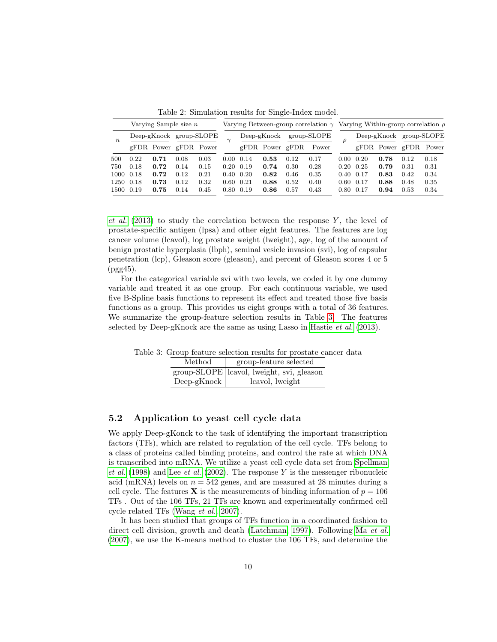<span id="page-9-0"></span>

| Varying Sample size $n$ |      |      |                         |      | Varying Between-group correlation $\gamma$ Varying Within-group correlation $\rho$ |               |                     |             |       |                   |      |      |                         |      |
|-------------------------|------|------|-------------------------|------|------------------------------------------------------------------------------------|---------------|---------------------|-------------|-------|-------------------|------|------|-------------------------|------|
| $n_{\cdot}$             |      |      | Deep-gKnock group-SLOPE |      |                                                                                    | $Deep-gKnock$ |                     | group-SLOPE |       |                   |      |      | Deep-gKnock group-SLOPE |      |
|                         |      |      | gFDR Power gFDR Power   |      |                                                                                    |               | $gFDR$ Power $gFDR$ |             | Power |                   |      |      | gFDR Power gFDR Power   |      |
| 500                     | 0.22 | 0.71 | 0.08                    | 0.03 | 0.00                                                                               | 0.14          | 0.53                | 0.12        | 0.17  | 0.00              | 0.20 | 0.78 | 0.12                    | 0.18 |
| 750                     | 0.18 | 0.72 | 0.14                    | 0.15 | 0.20                                                                               | 0.19          | 0.74                | 0.30        | 0.28  | 0.20              | 0.25 | 0.79 | 0.31                    | 0.31 |
| 1000 0.18               |      | 0.72 | 0.12                    | 0.21 | 0.40                                                                               | 0.20          | 0.82                | 0.46        | 0.35  | $0.40 \quad 0.17$ |      | 0.83 | 0.42                    | 0.34 |
| 1250                    | 0.18 | 0.73 | 0.12                    | 0.32 | 0.60                                                                               | 0.21          | 0.88                | 0.52        | 0.40  | 0.60              | 0.17 | 0.88 | 0.48                    | 0.35 |
| 1500 0.19               |      | 0.75 | 0.14                    | 0.45 | 0.80                                                                               | 0.19          | 0.86                | 0.57        | 0.43  | 0.80              | 0.17 | 0.94 | 0.53                    | 0.34 |

Table 2: Simulation results for Single-Index model.

[et al.](#page-11-10)  $(2013)$  to study the correlation between the response Y, the level of prostate-specific antigen (lpsa) and other eight features. The features are log cancer volume (lcavol), log prostate weight (lweight), age, log of the amount of benign prostatic hyperplasia (lbph), seminal vesicle invasion (svi), log of capsular penetration (lcp), Gleason score (gleason), and percent of Gleason scores 4 or 5 (pgg45).

For the categorical variable svi with two levels, we coded it by one dummy variable and treated it as one group. For each continuous variable, we used five B-Spline basis functions to represent its effect and treated those five basis functions as a group. This provides us eight groups with a total of 36 features. We summarize the group-feature selection results in Table [3.](#page-9-1) The features selected by Deep-gKnock are the same as using Lasso in [Hastie](#page-11-10) et al. [\(2013\)](#page-11-10).

<span id="page-9-1"></span>Table 3: Group feature selection results for prostate cancer data Method | group-feature selected group-SLOPE lcavol, lweight, svi, gleason

Deep-gKnock | lcavol, lweight

### 5.2 Application to yeast cell cycle data

We apply Deep-gKonck to the task of identifying the important transcription factors (TFs), which are related to regulation of the cell cycle. TFs belong to a class of proteins called binding proteins, and control the rate at which DNA is transcribed into mRNA. We utilize a yeast cell cycle data set from [Spellman](#page-12-8) [et al.](#page-11-11)  $(1998)$  and Lee et al.  $(2002)$ . The response Y is the messenger ribonucleic acid (mRNA) levels on  $n = 542$  genes, and are measured at 28 minutes during a cell cycle. The features **X** is the measurements of binding information of  $p = 106$ TFs . Out of the 106 TFs, 21 TFs are known and experimentally confirmed cell cycle related TFs [\(Wang](#page-12-9) et al., [2007\)](#page-12-9).

It has been studied that groups of TFs function in a coordinated fashion to direct cell division, growth and death [\(Latchman, 1997\)](#page-11-12). Following Ma [et al.](#page-12-10) [\(2007\)](#page-12-10), we use the K-means method to cluster the 106 TFs, and determine the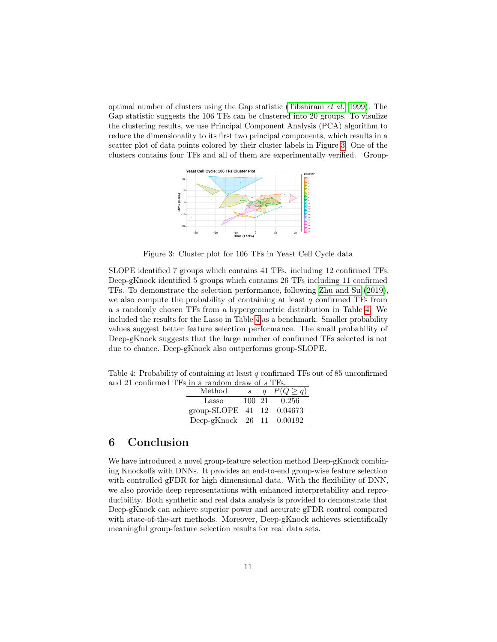optimal number of clusters using the Gap statistic [\(Tibshirani](#page-12-11) et al., [1999\)](#page-12-11). The Gap statistic suggests the 106 TFs can be clustered into 20 groups. To visulize the clustering results, we use Principal Component Analysis (PCA) algorithm to reduce the dimensionality to its first two principal components, which results in a scatter plot of data points colored by their cluster labels in Figure [3.](#page-10-0) One of the clusters contains four TFs and all of them are experimentally verified. Group-

<span id="page-10-0"></span>

Figure 3: Cluster plot for 106 TFs in Yeast Cell Cycle data

SLOPE identified 7 groups which contains 41 TFs. including 12 confirmed TFs. Deep-gKnock identified 5 groups which contains 26 TFs including 11 confirmed TFs. To demonstrate the selection performance, following [Zhu and Su](#page-12-12) [\(2019\)](#page-12-12), we also compute the probability of containing at least  $q$  confirmed TFs from a s randomly chosen TFs from a hypergeometric distribution in Table [4.](#page-10-1) We included the results for the Lasso in Table [4](#page-10-1) as a benchmark. Smaller probability values suggest better feature selection performance. The small probability of Deep-gKnock suggests that the large number of confirmed TFs selected is not due to chance. Deep-gKnock also outperforms group-SLOPE.

<span id="page-10-1"></span>Table 4: Probability of containing at least q confirmed TFs out of 85 unconfirmed and 21 confirmed TFs in a random draw of  $s$  TFs.

| a rangoni urawa or e          |        |               |
|-------------------------------|--------|---------------|
| $\operatorname{Method}$       |        | $P(Q \geq q)$ |
| Lasso                         | 100 21 | 0.256         |
| group-SLOPE   41 12 0.04673   |        |               |
| Deep-gKnock   26 11 $0.00192$ |        |               |

## 6 Conclusion

We have introduced a novel group-feature selection method Deep-gKnock combining Knockoffs with DNNs. It provides an end-to-end group-wise feature selection with controlled gFDR for high dimensional data. With the flexibility of DNN, we also provide deep representations with enhanced interpretability and reproducibility. Both synthetic and real data analysis is provided to demonstrate that Deep-gKnock can achieve superior power and accurate gFDR control compared with state-of-the-art methods. Moreover, Deep-gKnock achieves scientifically meaningful group-feature selection results for real data sets.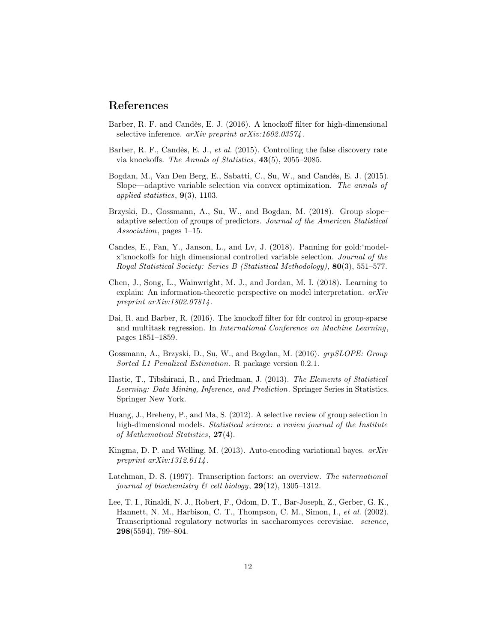### References

- <span id="page-11-8"></span>Barber, R. F. and Candès, E. J. (2016). A knockoff filter for high-dimensional selective inference.  $arXiv$  preprint  $arXiv:1602.03574$ .
- <span id="page-11-2"></span>Barber, R. F., Candès, E. J., et al. (2015). Controlling the false discovery rate via knockoffs. The Annals of Statistics, 43(5), 2055–2085.
- <span id="page-11-1"></span>Bogdan, M., Van Den Berg, E., Sabatti, C., Su, W., and Candès, E. J. (2015). Slope—adaptive variable selection via convex optimization. The annals of applied statistics,  $9(3)$ , 1103.
- <span id="page-11-4"></span>Brzyski, D., Gossmann, A., Su, W., and Bogdan, M. (2018). Group slope– adaptive selection of groups of predictors. Journal of the American Statistical Association, pages 1–15.
- <span id="page-11-3"></span>Candes, E., Fan, Y., Janson, L., and Lv, J. (2018). Panning for gold:'modelx'knockoffs for high dimensional controlled variable selection. Journal of the Royal Statistical Society: Series B (Statistical Methodology), 80(3), 551–577.
- <span id="page-11-7"></span>Chen, J., Song, L., Wainwright, M. J., and Jordan, M. I. (2018). Learning to explain: An information-theoretic perspective on model interpretation. arXiv preprint arXiv:1802.07814.
- <span id="page-11-5"></span>Dai, R. and Barber, R. (2016). The knockoff filter for fdr control in group-sparse and multitask regression. In International Conference on Machine Learning, pages 1851–1859.
- <span id="page-11-9"></span>Gossmann, A., Brzyski, D., Su, W., and Bogdan, M. (2016). grpSLOPE: Group Sorted L1 Penalized Estimation. R package version 0.2.1.
- <span id="page-11-10"></span>Hastie, T., Tibshirani, R., and Friedman, J. (2013). The Elements of Statistical Learning: Data Mining, Inference, and Prediction. Springer Series in Statistics. Springer New York.
- <span id="page-11-0"></span>Huang, J., Breheny, P., and Ma, S. (2012). A selective review of group selection in high-dimensional models. Statistical science: a review journal of the Institute of Mathematical Statistics, 27(4).
- <span id="page-11-6"></span>Kingma, D. P. and Welling, M. (2013). Auto-encoding variational bayes.  $arXiv$ preprint  $arXiv:1312.6114$ .
- <span id="page-11-12"></span>Latchman, D. S. (1997). Transcription factors: an overview. The international journal of biochemistry  $\mathcal C$  cell biology, **29**(12), 1305–1312.
- <span id="page-11-11"></span>Lee, T. I., Rinaldi, N. J., Robert, F., Odom, D. T., Bar-Joseph, Z., Gerber, G. K., Hannett, N. M., Harbison, C. T., Thompson, C. M., Simon, I., et al. (2002). Transcriptional regulatory networks in saccharomyces cerevisiae. science, 298(5594), 799–804.